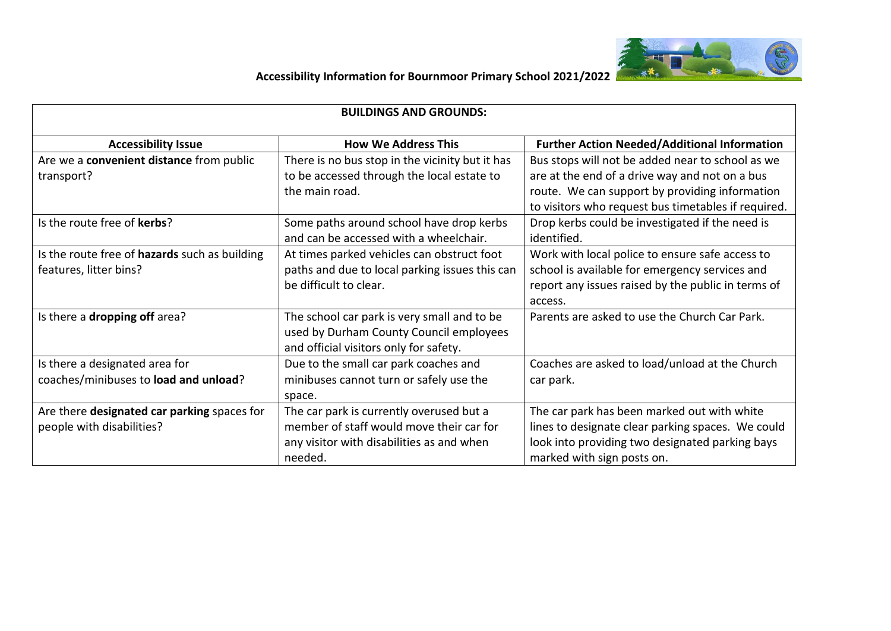

| <b>BUILDINGS AND GROUNDS:</b>                                            |                                                                                                                                              |                                                                                                                                                                                                             |
|--------------------------------------------------------------------------|----------------------------------------------------------------------------------------------------------------------------------------------|-------------------------------------------------------------------------------------------------------------------------------------------------------------------------------------------------------------|
| <b>Accessibility Issue</b>                                               | <b>How We Address This</b>                                                                                                                   | <b>Further Action Needed/Additional Information</b>                                                                                                                                                         |
| Are we a convenient distance from public<br>transport?                   | There is no bus stop in the vicinity but it has<br>to be accessed through the local estate to<br>the main road.                              | Bus stops will not be added near to school as we<br>are at the end of a drive way and not on a bus<br>route. We can support by providing information<br>to visitors who request bus timetables if required. |
| Is the route free of kerbs?                                              | Some paths around school have drop kerbs<br>and can be accessed with a wheelchair.                                                           | Drop kerbs could be investigated if the need is<br>identified.                                                                                                                                              |
| Is the route free of hazards such as building<br>features, litter bins?  | At times parked vehicles can obstruct foot<br>paths and due to local parking issues this can<br>be difficult to clear.                       | Work with local police to ensure safe access to<br>school is available for emergency services and<br>report any issues raised by the public in terms of<br>access.                                          |
| Is there a dropping off area?                                            | The school car park is very small and to be<br>used by Durham County Council employees<br>and official visitors only for safety.             | Parents are asked to use the Church Car Park.                                                                                                                                                               |
| Is there a designated area for<br>coaches/minibuses to load and unload?  | Due to the small car park coaches and<br>minibuses cannot turn or safely use the<br>space.                                                   | Coaches are asked to load/unload at the Church<br>car park.                                                                                                                                                 |
| Are there designated car parking spaces for<br>people with disabilities? | The car park is currently overused but a<br>member of staff would move their car for<br>any visitor with disabilities as and when<br>needed. | The car park has been marked out with white<br>lines to designate clear parking spaces. We could<br>look into providing two designated parking bays<br>marked with sign posts on.                           |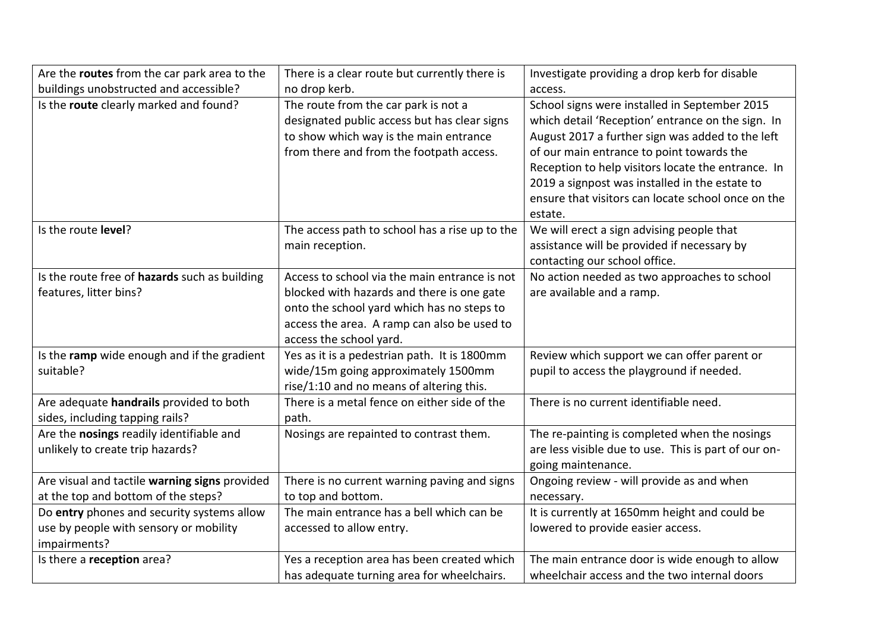| Are the routes from the car park area to the  | There is a clear route but currently there is  | Investigate providing a drop kerb for disable        |
|-----------------------------------------------|------------------------------------------------|------------------------------------------------------|
| buildings unobstructed and accessible?        | no drop kerb.                                  | access.                                              |
| Is the route clearly marked and found?        | The route from the car park is not a           | School signs were installed in September 2015        |
|                                               | designated public access but has clear signs   | which detail 'Reception' entrance on the sign. In    |
|                                               | to show which way is the main entrance         | August 2017 a further sign was added to the left     |
|                                               | from there and from the footpath access.       | of our main entrance to point towards the            |
|                                               |                                                | Reception to help visitors locate the entrance. In   |
|                                               |                                                | 2019 a signpost was installed in the estate to       |
|                                               |                                                | ensure that visitors can locate school once on the   |
|                                               |                                                | estate.                                              |
| Is the route level?                           | The access path to school has a rise up to the | We will erect a sign advising people that            |
|                                               | main reception.                                | assistance will be provided if necessary by          |
|                                               |                                                | contacting our school office.                        |
| Is the route free of hazards such as building | Access to school via the main entrance is not  | No action needed as two approaches to school         |
| features, litter bins?                        | blocked with hazards and there is one gate     | are available and a ramp.                            |
|                                               | onto the school yard which has no steps to     |                                                      |
|                                               | access the area. A ramp can also be used to    |                                                      |
|                                               | access the school yard.                        |                                                      |
| Is the ramp wide enough and if the gradient   | Yes as it is a pedestrian path. It is 1800mm   | Review which support we can offer parent or          |
| suitable?                                     | wide/15m going approximately 1500mm            | pupil to access the playground if needed.            |
|                                               | rise/1:10 and no means of altering this.       |                                                      |
| Are adequate handrails provided to both       | There is a metal fence on either side of the   | There is no current identifiable need.               |
| sides, including tapping rails?               | path.                                          |                                                      |
| Are the nosings readily identifiable and      | Nosings are repainted to contrast them.        | The re-painting is completed when the nosings        |
| unlikely to create trip hazards?              |                                                | are less visible due to use. This is part of our on- |
|                                               |                                                | going maintenance.                                   |
| Are visual and tactile warning signs provided | There is no current warning paving and signs   | Ongoing review - will provide as and when            |
| at the top and bottom of the steps?           | to top and bottom.                             | necessary.                                           |
| Do entry phones and security systems allow    | The main entrance has a bell which can be      | It is currently at 1650mm height and could be        |
| use by people with sensory or mobility        | accessed to allow entry.                       | lowered to provide easier access.                    |
| impairments?                                  |                                                |                                                      |
| Is there a reception area?                    | Yes a reception area has been created which    | The main entrance door is wide enough to allow       |
|                                               | has adequate turning area for wheelchairs.     | wheelchair access and the two internal doors         |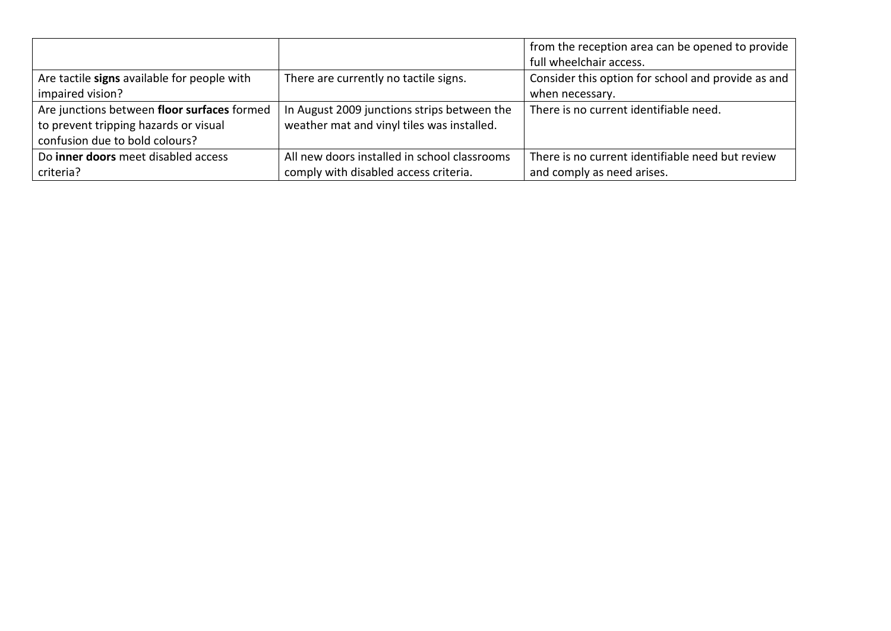|                                             |                                              | from the reception area can be opened to provide   |
|---------------------------------------------|----------------------------------------------|----------------------------------------------------|
|                                             |                                              | full wheelchair access.                            |
| Are tactile signs available for people with | There are currently no tactile signs.        | Consider this option for school and provide as and |
| impaired vision?                            |                                              | when necessary.                                    |
| Are junctions between floor surfaces formed | In August 2009 junctions strips between the  | There is no current identifiable need.             |
| to prevent tripping hazards or visual       | weather mat and vinyl tiles was installed.   |                                                    |
| confusion due to bold colours?              |                                              |                                                    |
| Do inner doors meet disabled access         | All new doors installed in school classrooms | There is no current identifiable need but review   |
| criteria?                                   | comply with disabled access criteria.        | and comply as need arises.                         |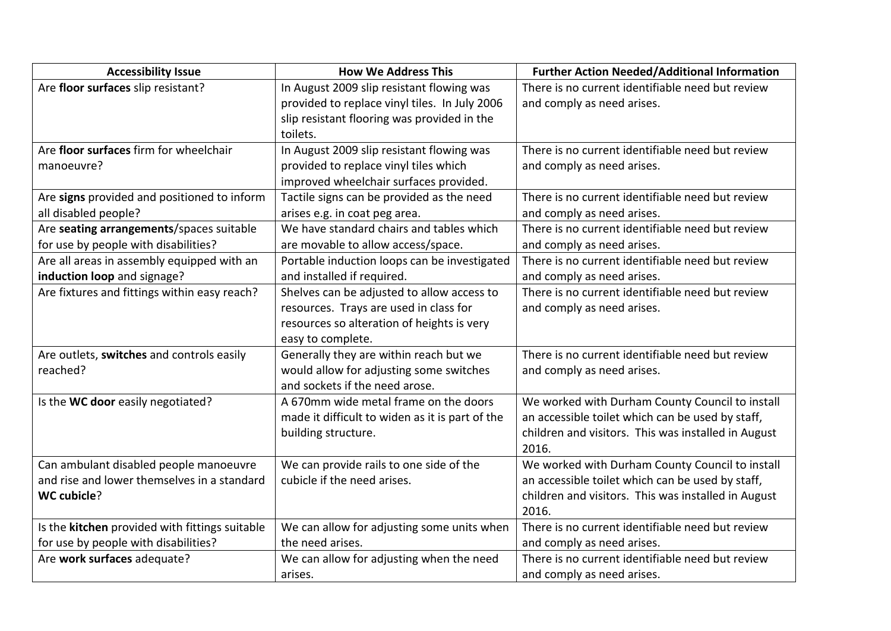| <b>Accessibility Issue</b>                     | <b>How We Address This</b>                      | <b>Further Action Needed/Additional Information</b> |
|------------------------------------------------|-------------------------------------------------|-----------------------------------------------------|
| Are floor surfaces slip resistant?             | In August 2009 slip resistant flowing was       | There is no current identifiable need but review    |
|                                                | provided to replace vinyl tiles. In July 2006   | and comply as need arises.                          |
|                                                | slip resistant flooring was provided in the     |                                                     |
|                                                | toilets.                                        |                                                     |
| Are floor surfaces firm for wheelchair         | In August 2009 slip resistant flowing was       | There is no current identifiable need but review    |
| manoeuvre?                                     | provided to replace vinyl tiles which           | and comply as need arises.                          |
|                                                | improved wheelchair surfaces provided.          |                                                     |
| Are signs provided and positioned to inform    | Tactile signs can be provided as the need       | There is no current identifiable need but review    |
| all disabled people?                           | arises e.g. in coat peg area.                   | and comply as need arises.                          |
| Are seating arrangements/spaces suitable       | We have standard chairs and tables which        | There is no current identifiable need but review    |
| for use by people with disabilities?           | are movable to allow access/space.              | and comply as need arises.                          |
| Are all areas in assembly equipped with an     | Portable induction loops can be investigated    | There is no current identifiable need but review    |
| induction loop and signage?                    | and installed if required.                      | and comply as need arises.                          |
| Are fixtures and fittings within easy reach?   | Shelves can be adjusted to allow access to      | There is no current identifiable need but review    |
|                                                | resources. Trays are used in class for          | and comply as need arises.                          |
|                                                | resources so alteration of heights is very      |                                                     |
|                                                | easy to complete.                               |                                                     |
| Are outlets, switches and controls easily      | Generally they are within reach but we          | There is no current identifiable need but review    |
| reached?                                       | would allow for adjusting some switches         | and comply as need arises.                          |
|                                                | and sockets if the need arose.                  |                                                     |
| Is the WC door easily negotiated?              | A 670mm wide metal frame on the doors           | We worked with Durham County Council to install     |
|                                                | made it difficult to widen as it is part of the | an accessible toilet which can be used by staff,    |
|                                                | building structure.                             | children and visitors. This was installed in August |
|                                                |                                                 | 2016.                                               |
| Can ambulant disabled people manoeuvre         | We can provide rails to one side of the         | We worked with Durham County Council to install     |
| and rise and lower themselves in a standard    | cubicle if the need arises.                     | an accessible toilet which can be used by staff,    |
| <b>WC cubicle?</b>                             |                                                 | children and visitors. This was installed in August |
|                                                |                                                 | 2016.                                               |
| Is the kitchen provided with fittings suitable | We can allow for adjusting some units when      | There is no current identifiable need but review    |
| for use by people with disabilities?           | the need arises.                                | and comply as need arises.                          |
| Are work surfaces adequate?                    | We can allow for adjusting when the need        | There is no current identifiable need but review    |
|                                                | arises.                                         | and comply as need arises.                          |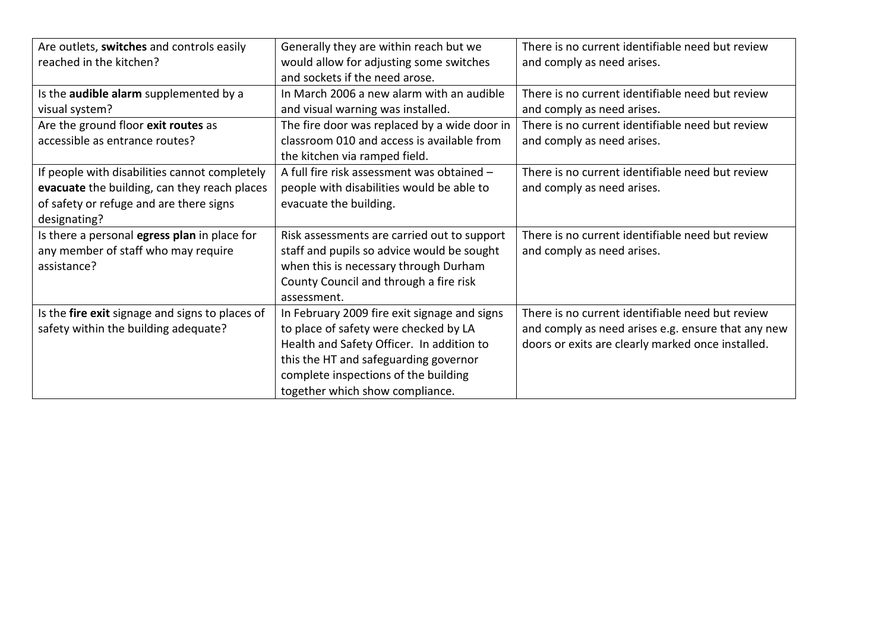| Are outlets, switches and controls easily       | Generally they are within reach but we       | There is no current identifiable need but review   |
|-------------------------------------------------|----------------------------------------------|----------------------------------------------------|
| reached in the kitchen?                         | would allow for adjusting some switches      | and comply as need arises.                         |
|                                                 | and sockets if the need arose.               |                                                    |
| Is the audible alarm supplemented by a          | In March 2006 a new alarm with an audible    | There is no current identifiable need but review   |
| visual system?                                  | and visual warning was installed.            | and comply as need arises.                         |
| Are the ground floor exit routes as             | The fire door was replaced by a wide door in | There is no current identifiable need but review   |
| accessible as entrance routes?                  | classroom 010 and access is available from   | and comply as need arises.                         |
|                                                 | the kitchen via ramped field.                |                                                    |
| If people with disabilities cannot completely   | A full fire risk assessment was obtained -   | There is no current identifiable need but review   |
| evacuate the building, can they reach places    | people with disabilities would be able to    | and comply as need arises.                         |
| of safety or refuge and are there signs         | evacuate the building.                       |                                                    |
| designating?                                    |                                              |                                                    |
| Is there a personal egress plan in place for    | Risk assessments are carried out to support  | There is no current identifiable need but review   |
| any member of staff who may require             | staff and pupils so advice would be sought   | and comply as need arises.                         |
| assistance?                                     | when this is necessary through Durham        |                                                    |
|                                                 | County Council and through a fire risk       |                                                    |
|                                                 | assessment.                                  |                                                    |
| Is the fire exit signage and signs to places of | In February 2009 fire exit signage and signs | There is no current identifiable need but review   |
| safety within the building adequate?            | to place of safety were checked by LA        | and comply as need arises e.g. ensure that any new |
|                                                 | Health and Safety Officer. In addition to    | doors or exits are clearly marked once installed.  |
|                                                 | this the HT and safeguarding governor        |                                                    |
|                                                 | complete inspections of the building         |                                                    |
|                                                 | together which show compliance.              |                                                    |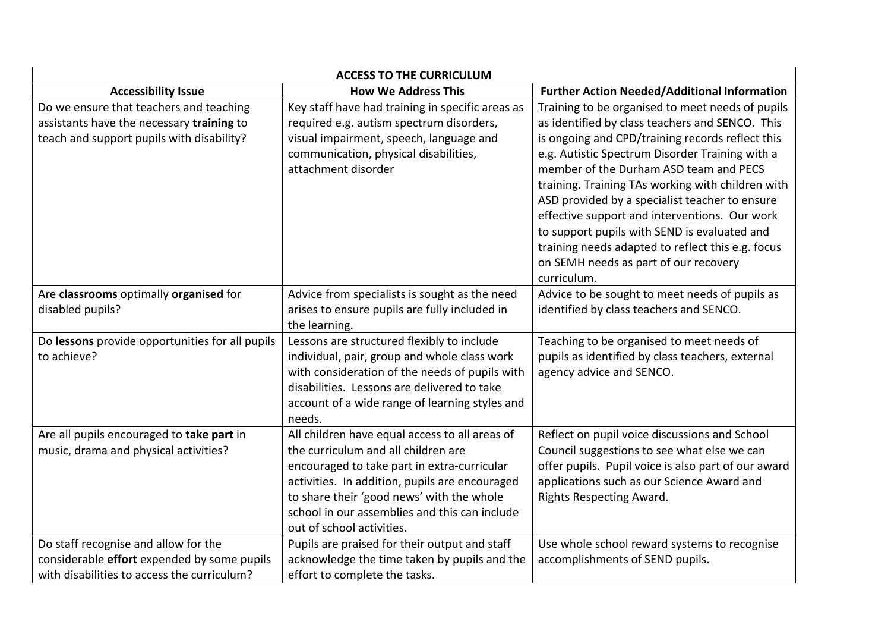| <b>ACCESS TO THE CURRICULUM</b>                                                                                                    |                                                                                                                                                                                                                                                                                                                   |                                                                                                                                                                                                                                                                                                                                                                                                                                                                                                                                                                           |  |
|------------------------------------------------------------------------------------------------------------------------------------|-------------------------------------------------------------------------------------------------------------------------------------------------------------------------------------------------------------------------------------------------------------------------------------------------------------------|---------------------------------------------------------------------------------------------------------------------------------------------------------------------------------------------------------------------------------------------------------------------------------------------------------------------------------------------------------------------------------------------------------------------------------------------------------------------------------------------------------------------------------------------------------------------------|--|
| <b>Accessibility Issue</b>                                                                                                         | <b>How We Address This</b>                                                                                                                                                                                                                                                                                        | <b>Further Action Needed/Additional Information</b>                                                                                                                                                                                                                                                                                                                                                                                                                                                                                                                       |  |
| Do we ensure that teachers and teaching<br>assistants have the necessary training to<br>teach and support pupils with disability?  | Key staff have had training in specific areas as<br>required e.g. autism spectrum disorders,<br>visual impairment, speech, language and<br>communication, physical disabilities,<br>attachment disorder                                                                                                           | Training to be organised to meet needs of pupils<br>as identified by class teachers and SENCO. This<br>is ongoing and CPD/training records reflect this<br>e.g. Autistic Spectrum Disorder Training with a<br>member of the Durham ASD team and PECS<br>training. Training TAs working with children with<br>ASD provided by a specialist teacher to ensure<br>effective support and interventions. Our work<br>to support pupils with SEND is evaluated and<br>training needs adapted to reflect this e.g. focus<br>on SEMH needs as part of our recovery<br>curriculum. |  |
| Are classrooms optimally organised for<br>disabled pupils?                                                                         | Advice from specialists is sought as the need<br>arises to ensure pupils are fully included in<br>the learning.                                                                                                                                                                                                   | Advice to be sought to meet needs of pupils as<br>identified by class teachers and SENCO.                                                                                                                                                                                                                                                                                                                                                                                                                                                                                 |  |
| Do lessons provide opportunities for all pupils<br>to achieve?                                                                     | Lessons are structured flexibly to include<br>individual, pair, group and whole class work<br>with consideration of the needs of pupils with<br>disabilities. Lessons are delivered to take<br>account of a wide range of learning styles and<br>needs.                                                           | Teaching to be organised to meet needs of<br>pupils as identified by class teachers, external<br>agency advice and SENCO.                                                                                                                                                                                                                                                                                                                                                                                                                                                 |  |
| Are all pupils encouraged to take part in<br>music, drama and physical activities?                                                 | All children have equal access to all areas of<br>the curriculum and all children are<br>encouraged to take part in extra-curricular<br>activities. In addition, pupils are encouraged<br>to share their 'good news' with the whole<br>school in our assemblies and this can include<br>out of school activities. | Reflect on pupil voice discussions and School<br>Council suggestions to see what else we can<br>offer pupils. Pupil voice is also part of our award<br>applications such as our Science Award and<br>Rights Respecting Award.                                                                                                                                                                                                                                                                                                                                             |  |
| Do staff recognise and allow for the<br>considerable effort expended by some pupils<br>with disabilities to access the curriculum? | Pupils are praised for their output and staff<br>acknowledge the time taken by pupils and the<br>effort to complete the tasks.                                                                                                                                                                                    | Use whole school reward systems to recognise<br>accomplishments of SEND pupils.                                                                                                                                                                                                                                                                                                                                                                                                                                                                                           |  |